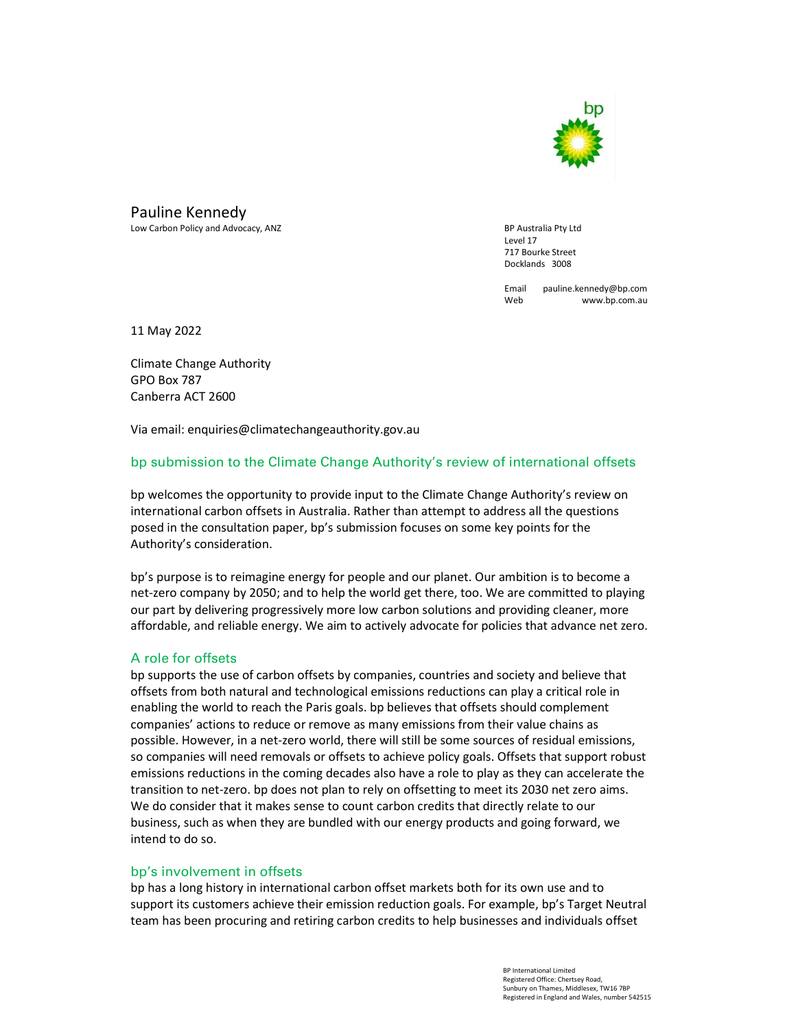

Pauline Kennedy

Low Carbon Policy and Advocacy, ANZ BP Australia Pty Ltd

**Level 17**  717 Bourke Street Docklands 3008

> Email pauline.kennedy@bp.com Web www.bp.com.au

11 May 2022

Climate Change Authority GPO Box 787 Canberra ACT 2600

Via email: enquiries@climatechangeauthority.gov.au

# bp submission to the Climate Change Authority's review of international offsets

bp welcomes the opportunity to provide input to the Climate Change Authority's review on international carbon offsets in Australia. Rather than attempt to address all the questions posed in the consultation paper, bp's submission focuses on some key points for the Authority's consideration.

bp's purpose is to reimagine energy for people and our planet. Our ambition is to become a net-zero company by 2050; and to help the world get there, too. We are committed to playing our part by delivering progressively more low carbon solutions and providing cleaner, more affordable, and reliable energy. We aim to actively advocate for policies that advance net zero.

#### A role for offsets

bp supports the use of carbon offsets by companies, countries and society and believe that offsets from both natural and technological emissions reductions can play a critical role in enabling the world to reach the Paris goals. bp believes that offsets should complement companies' actions to reduce or remove as many emissions from their value chains as possible. However, in a net-zero world, there will still be some sources of residual emissions, so companies will need removals or offsets to achieve policy goals. Offsets that support robust emissions reductions in the coming decades also have a role to play as they can accelerate the transition to net-zero. bp does not plan to rely on offsetting to meet its 2030 net zero aims. We do consider that it makes sense to count carbon credits that directly relate to our business, such as when they are bundled with our energy products and going forward, we intend to do so.

## bp's involvement in offsets

bp has a long history in international carbon offset markets both for its own use and to support its customers achieve their emission reduction goals. For example, bp's Target Neutral team has been procuring and retiring carbon credits to help businesses and individuals offset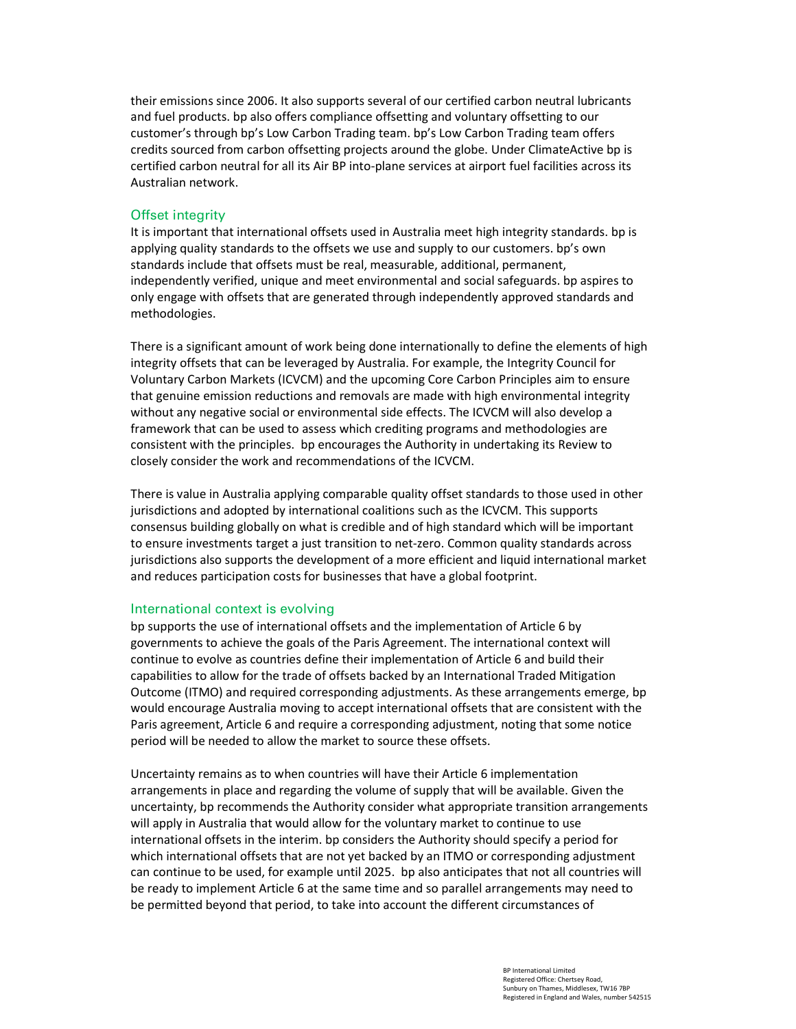their emissions since 2006. It also supports several of our certified carbon neutral lubricants and fuel products. bp also offers compliance offsetting and voluntary offsetting to our customer's through bp's Low Carbon Trading team. bp's Low Carbon Trading team offers credits sourced from carbon offsetting projects around the globe. Under ClimateActive bp is certified carbon neutral for all its Air BP into-plane services at airport fuel facilities across its Australian network.

### **Offset integrity**

It is important that international offsets used in Australia meet high integrity standards. bp is applying quality standards to the offsets we use and supply to our customers. bp's own standards include that offsets must be real, measurable, additional, permanent, independently verified, unique and meet environmental and social safeguards. bp aspires to only engage with offsets that are generated through independently approved standards and methodologies.

There is a significant amount of work being done internationally to define the elements of high integrity offsets that can be leveraged by Australia. For example, the Integrity Council for Voluntary Carbon Markets (ICVCM) and the upcoming Core Carbon Principles aim to ensure that genuine emission reductions and removals are made with high environmental integrity without any negative social or environmental side effects. The ICVCM will also develop a framework that can be used to assess which crediting programs and methodologies are consistent with the principles. bp encourages the Authority in undertaking its Review to closely consider the work and recommendations of the ICVCM.

There is value in Australia applying comparable quality offset standards to those used in other jurisdictions and adopted by international coalitions such as the ICVCM. This supports consensus building globally on what is credible and of high standard which will be important to ensure investments target a just transition to net-zero. Common quality standards across jurisdictions also supports the development of a more efficient and liquid international market and reduces participation costs for businesses that have a global footprint.

#### International context is evolving

bp supports the use of international offsets and the implementation of Article 6 by governments to achieve the goals of the Paris Agreement. The international context will continue to evolve as countries define their implementation of Article 6 and build their capabilities to allow for the trade of offsets backed by an International Traded Mitigation Outcome (ITMO) and required corresponding adjustments. As these arrangements emerge, bp would encourage Australia moving to accept international offsets that are consistent with the Paris agreement, Article 6 and require a corresponding adjustment, noting that some notice period will be needed to allow the market to source these offsets.

Uncertainty remains as to when countries will have their Article 6 implementation arrangements in place and regarding the volume of supply that will be available. Given the uncertainty, bp recommends the Authority consider what appropriate transition arrangements will apply in Australia that would allow for the voluntary market to continue to use international offsets in the interim. bp considers the Authority should specify a period for which international offsets that are not yet backed by an ITMO or corresponding adjustment can continue to be used, for example until 2025. bp also anticipates that not all countries will be ready to implement Article 6 at the same time and so parallel arrangements may need to be permitted beyond that period, to take into account the different circumstances of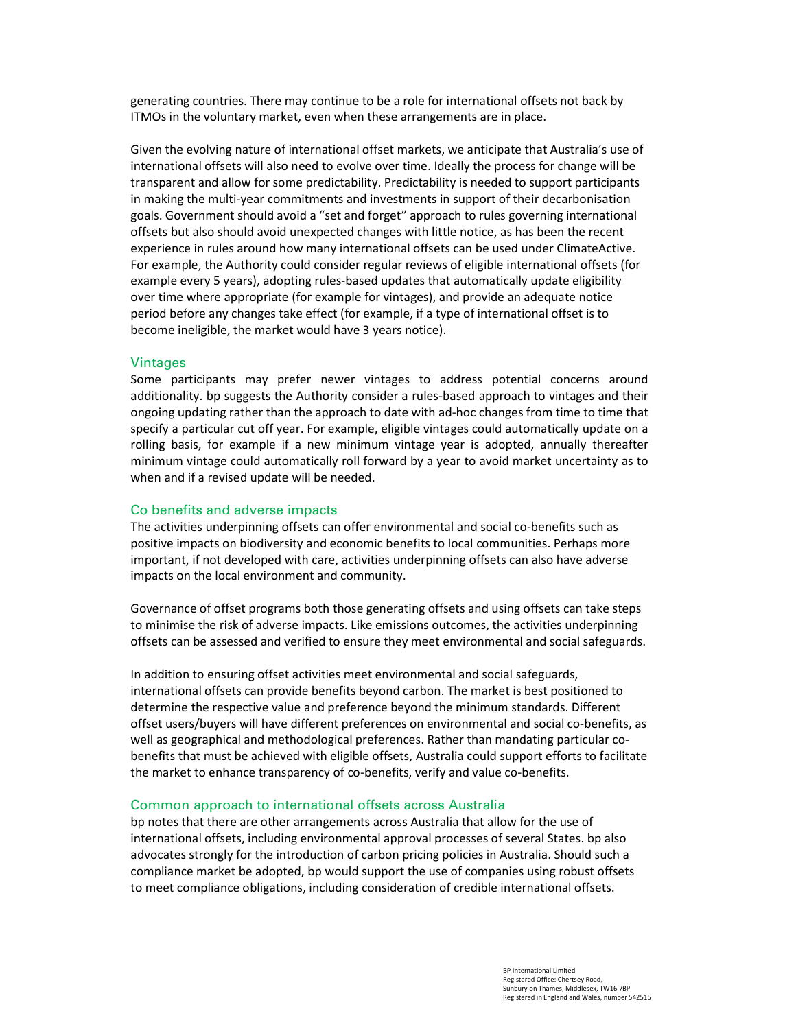generating countries. There may continue to be a role for international offsets not back by ITMOs in the voluntary market, even when these arrangements are in place.

Given the evolving nature of international offset markets, we anticipate that Australia's use of international offsets will also need to evolve over time. Ideally the process for change will be transparent and allow for some predictability. Predictability is needed to support participants in making the multi-year commitments and investments in support of their decarbonisation goals. Government should avoid a "set and forget" approach to rules governing international offsets but also should avoid unexpected changes with little notice, as has been the recent experience in rules around how many international offsets can be used under ClimateActive. For example, the Authority could consider regular reviews of eligible international offsets (for example every 5 years), adopting rules-based updates that automatically update eligibility over time where appropriate (for example for vintages), and provide an adequate notice period before any changes take effect (for example, if a type of international offset is to become ineligible, the market would have 3 years notice).

#### **Vintages**

Some participants may prefer newer vintages to address potential concerns around additionality. bp suggests the Authority consider a rules-based approach to vintages and their ongoing updating rather than the approach to date with ad-hoc changes from time to time that specify a particular cut off year. For example, eligible vintages could automatically update on a rolling basis, for example if a new minimum vintage year is adopted, annually thereafter minimum vintage could automatically roll forward by a year to avoid market uncertainty as to when and if a revised update will be needed.

#### Co benefits and adverse impacts

The activities underpinning offsets can offer environmental and social co-benefits such as positive impacts on biodiversity and economic benefits to local communities. Perhaps more important, if not developed with care, activities underpinning offsets can also have adverse impacts on the local environment and community.

Governance of offset programs both those generating offsets and using offsets can take steps to minimise the risk of adverse impacts. Like emissions outcomes, the activities underpinning offsets can be assessed and verified to ensure they meet environmental and social safeguards.

In addition to ensuring offset activities meet environmental and social safeguards, international offsets can provide benefits beyond carbon. The market is best positioned to determine the respective value and preference beyond the minimum standards. Different offset users/buyers will have different preferences on environmental and social co-benefits, as well as geographical and methodological preferences. Rather than mandating particular cobenefits that must be achieved with eligible offsets, Australia could support efforts to facilitate the market to enhance transparency of co-benefits, verify and value co-benefits.

#### Common approach to international offsets across Australia

bp notes that there are other arrangements across Australia that allow for the use of international offsets, including environmental approval processes of several States. bp also advocates strongly for the introduction of carbon pricing policies in Australia. Should such a compliance market be adopted, bp would support the use of companies using robust offsets to meet compliance obligations, including consideration of credible international offsets.